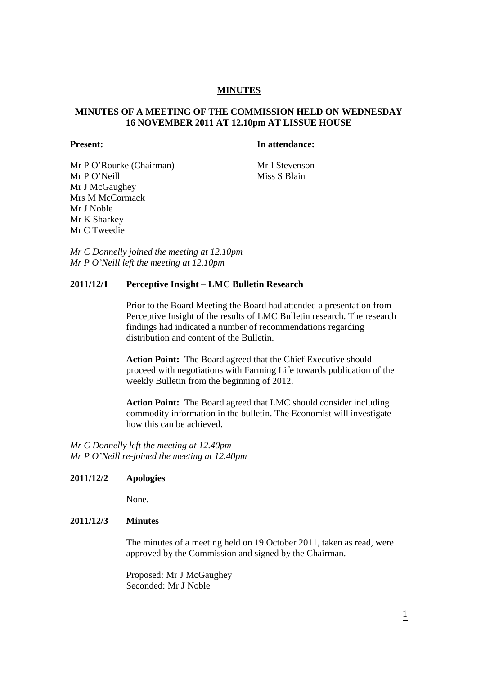# **MINUTES**

# **MINUTES OF A MEETING OF THE COMMISSION HELD ON WEDNESDAY 16 NOVEMBER 2011 AT 12.10pm AT LISSUE HOUSE**

### **Present:** In attendance:

Mr P O'Rourke (Chairman) Mr I Stevenson Mr P O'Neill Miss S Blain Mr J McGaughey Mrs M McCormack Mr J Noble Mr K Sharkey Mr C Tweedie

*Mr C Donnelly joined the meeting at 12.10pm Mr P O'Neill left the meeting at 12.10pm* 

#### **2011/12/1 Perceptive Insight – LMC Bulletin Research**

Prior to the Board Meeting the Board had attended a presentation from Perceptive Insight of the results of LMC Bulletin research. The research findings had indicated a number of recommendations regarding distribution and content of the Bulletin.

 **Action Point:** The Board agreed that the Chief Executive should proceed with negotiations with Farming Life towards publication of the weekly Bulletin from the beginning of 2012.

 **Action Point:** The Board agreed that LMC should consider including commodity information in the bulletin. The Economist will investigate how this can be achieved.

*Mr C Donnelly left the meeting at 12.40pm Mr P O'Neill re-joined the meeting at 12.40pm* 

# **2011/12/2 Apologies**

None.

#### **2011/12/3 Minutes**

The minutes of a meeting held on 19 October 2011, taken as read, were approved by the Commission and signed by the Chairman.

Proposed: Mr J McGaughey Seconded: Mr J Noble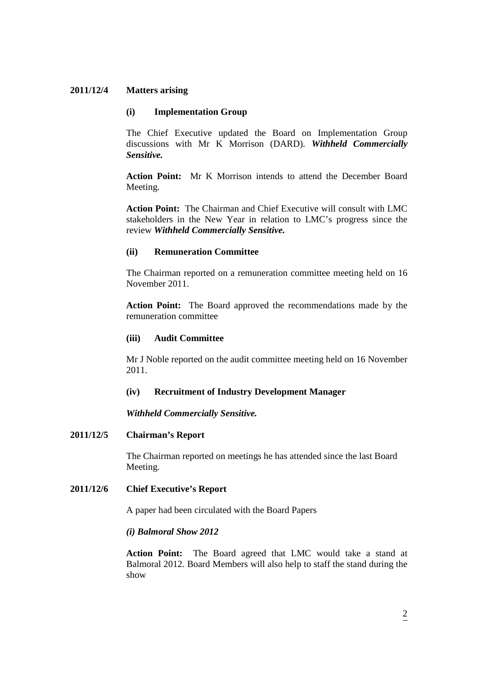# **2011/12/4 Matters arising**

### **(i) Implementation Group**

The Chief Executive updated the Board on Implementation Group discussions with Mr K Morrison (DARD). *Withheld Commercially Sensitive.* 

**Action Point:** Mr K Morrison intends to attend the December Board Meeting.

**Action Point:** The Chairman and Chief Executive will consult with LMC stakeholders in the New Year in relation to LMC's progress since the review *Withheld Commercially Sensitive.* 

# **(ii) Remuneration Committee**

The Chairman reported on a remuneration committee meeting held on 16 November 2011.

**Action Point:** The Board approved the recommendations made by the remuneration committee

# **(iii) Audit Committee**

Mr J Noble reported on the audit committee meeting held on 16 November 2011.

#### **(iv) Recruitment of Industry Development Manager**

*Withheld Commercially Sensitive.* 

# **2011/12/5 Chairman's Report**

The Chairman reported on meetings he has attended since the last Board Meeting.

#### **2011/12/6 Chief Executive's Report**

A paper had been circulated with the Board Papers

*(i) Balmoral Show 2012* 

**Action Point:** The Board agreed that LMC would take a stand at Balmoral 2012. Board Members will also help to staff the stand during the show